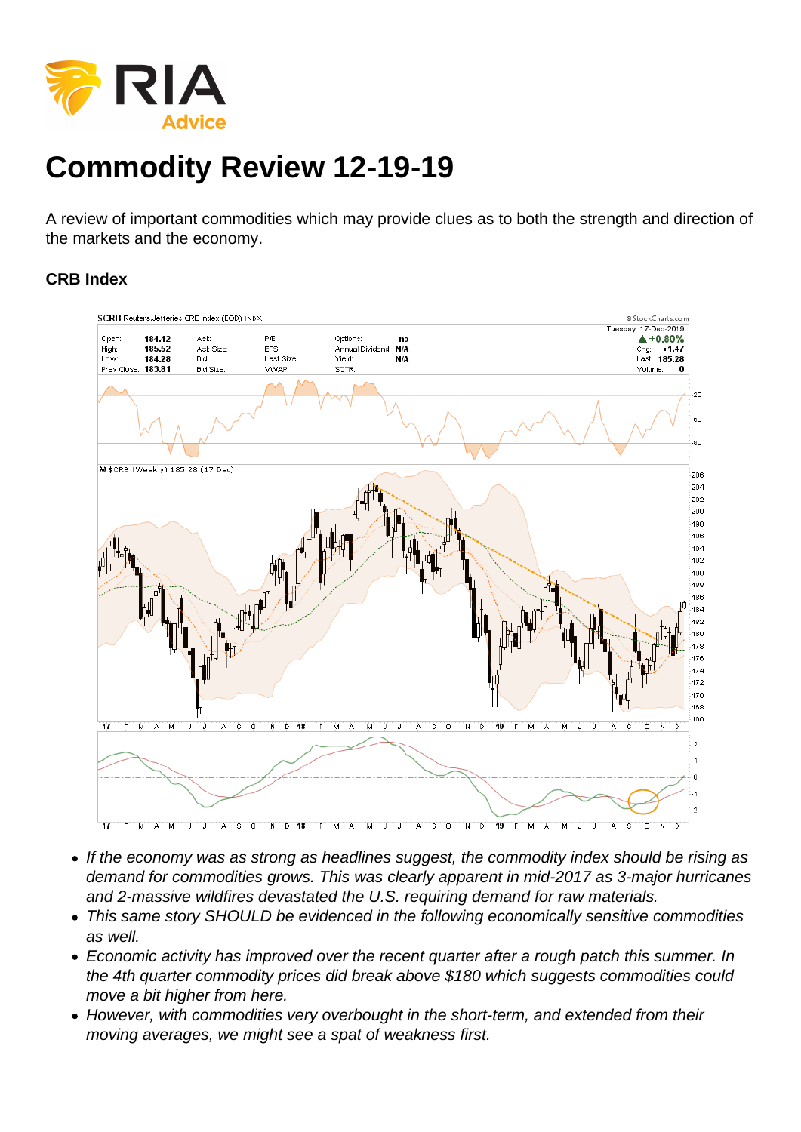## Commodity Review 12-19-19

A review of important commodities which may provide clues as to both the strength and direction of the markets and the economy.

CRB Index

- If the economy was as strong as headlines suggest, the commodity index should be rising as demand for commodities grows. This was clearly apparent in mid-2017 as 3-major hurricanes and 2-massive wildfires devastated the U.S. requiring demand for raw materials.
- This same story SHOULD be evidenced in the following economically sensitive commodities as well.
- Economic activity has improved over the recent quarter after a rough patch this summer. In the 4th quarter commodity prices did break above \$180 which suggests commodities could move a bit higher from here.
- However, with commodities very overbought in the short-term, and extended from their moving averages, we might see a spat of weakness first.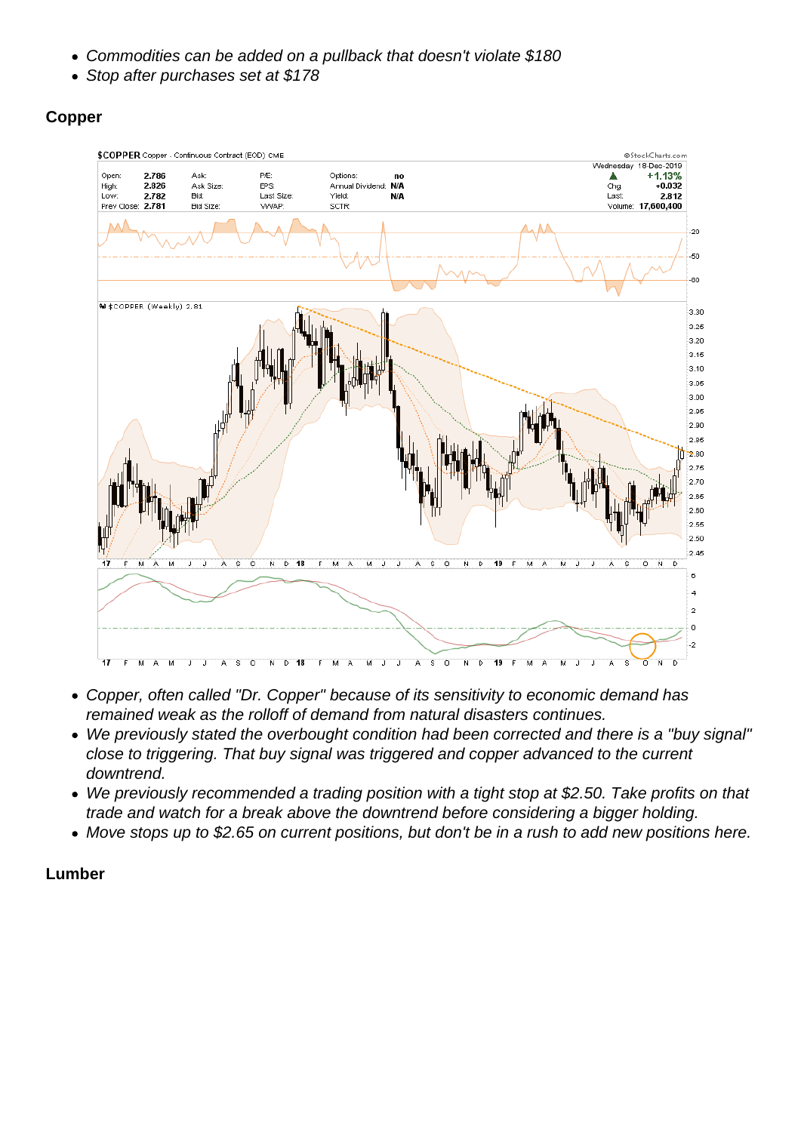- Commodities can be added on a pullback that doesn't violate \$180
- Stop after purchases set at \$178

Copper

- Copper, often called "Dr. Copper" because of its sensitivity to economic demand has remained weak as the rolloff of demand from natural disasters continues.
- We previously stated the overbought condition had been corrected and there is a "buy signal" close to triggering. That buy signal was triggered and copper advanced to the current downtrend.
- We previously recommended a trading position with a tight stop at \$2.50. Take profits on that trade and watch for a break above the downtrend before considering a bigger holding.
- Move stops up to \$2.65 on current positions, but don't be in a rush to add new positions here.

Lumber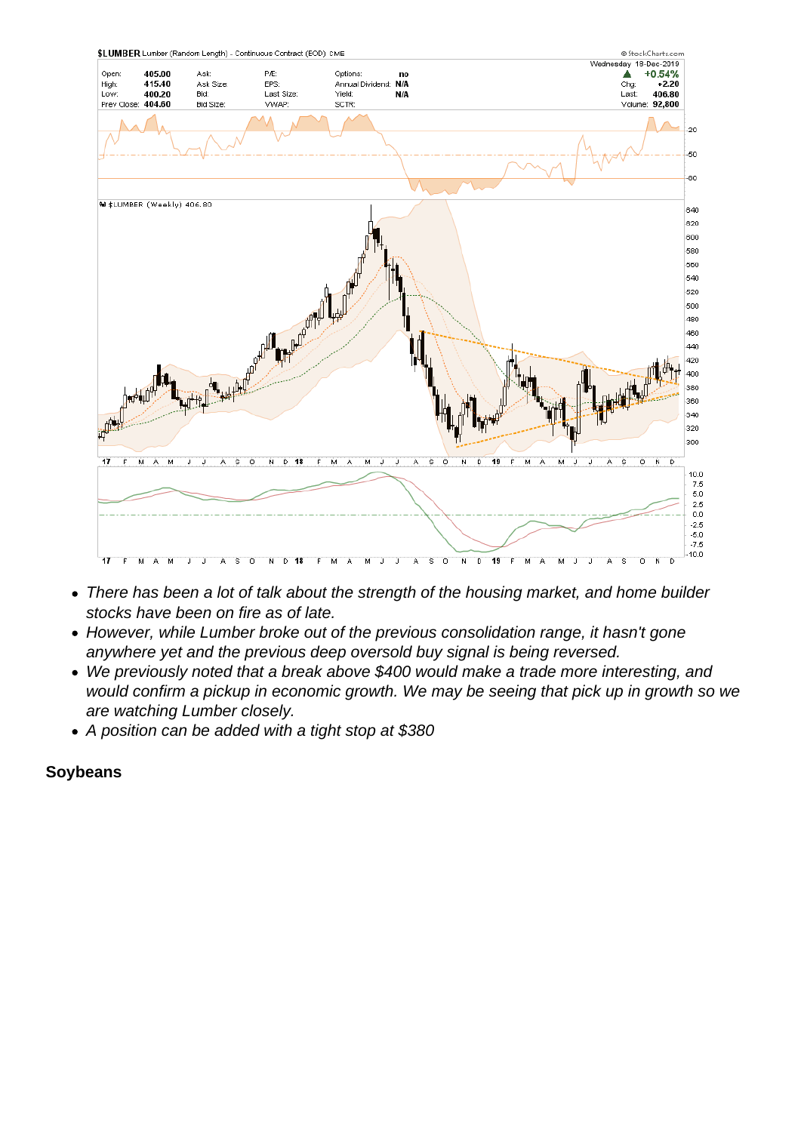- There has been a lot of talk about the strength of the housing market, and home builder stocks have been on fire as of late.
- However, while Lumber broke out of the previous consolidation range, it hasn't gone anywhere yet and the previous deep oversold buy signal is being reversed.
- We previously noted that a break above \$400 would make a trade more interesting, and would confirm a pickup in economic growth. We may be seeing that pick up in growth so we are watching Lumber closely.
- A position can be added with a tight stop at \$380

**Soybeans**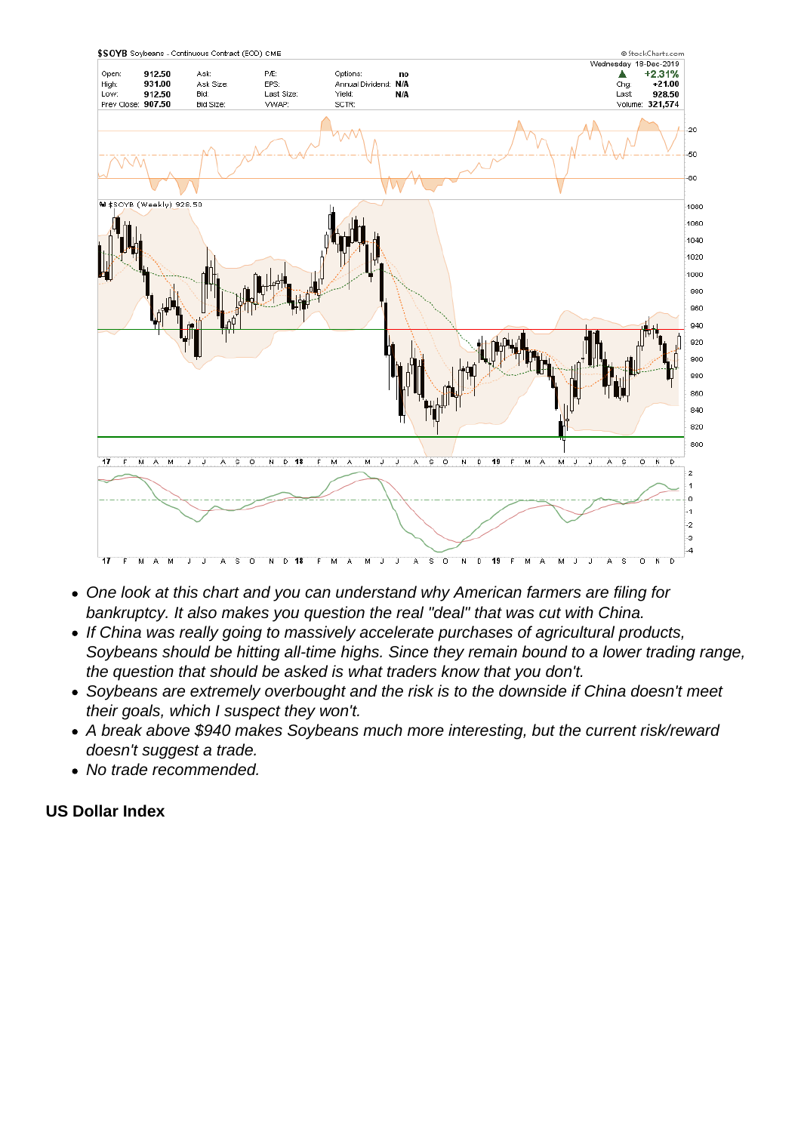- One look at this chart and you can understand why American farmers are filing for bankruptcy. It also makes you question the real "deal" that was cut with China.
- If China was really going to massively accelerate purchases of agricultural products, Soybeans should be hitting all-time highs. Since they remain bound to a lower trading range, the question that should be asked is what traders know that you don't.
- Soybeans are extremely overbought and the risk is to the downside if China doesn't meet their goals, which I suspect they won't.
- A break above \$940 makes Soybeans much more interesting, but the current risk/reward doesn't suggest a trade.
- No trade recommended.

US Dollar Index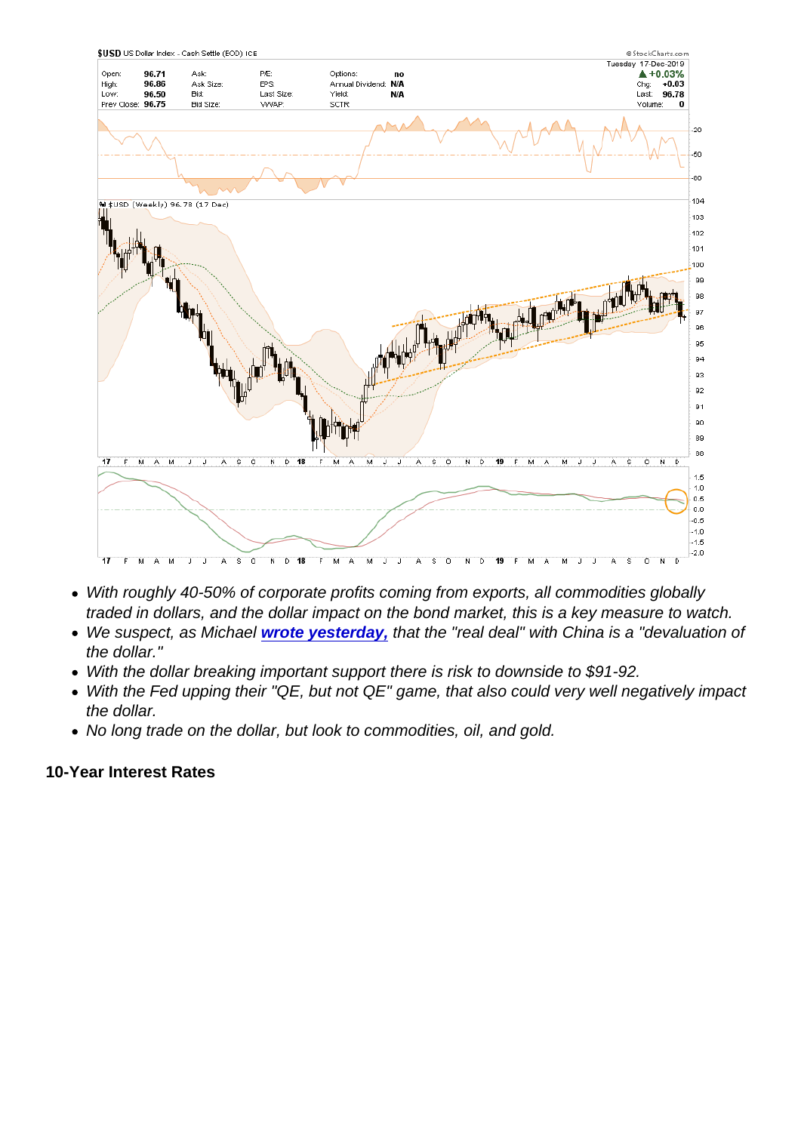- With roughly 40-50% of corporate profits coming from exports, all commodities globally traded in dollars, and the dollar impact on the bond market, this is a key measure to watch.
- We suspect, as Michael [wrote yesterday,](https://realinvestmentadvice.com/what-we-are-not-being-told-about-the-trade-deal/) that the "real deal" with China is a "devaluation of the dollar."
- With the dollar breaking important support there is risk to downside to \$91-92.
- With the Fed upping their "QE, but not QE" game, that also could very well negatively impact the dollar.
- No long trade on the dollar, but look to commodities, oil, and gold.

10-Year Interest Rates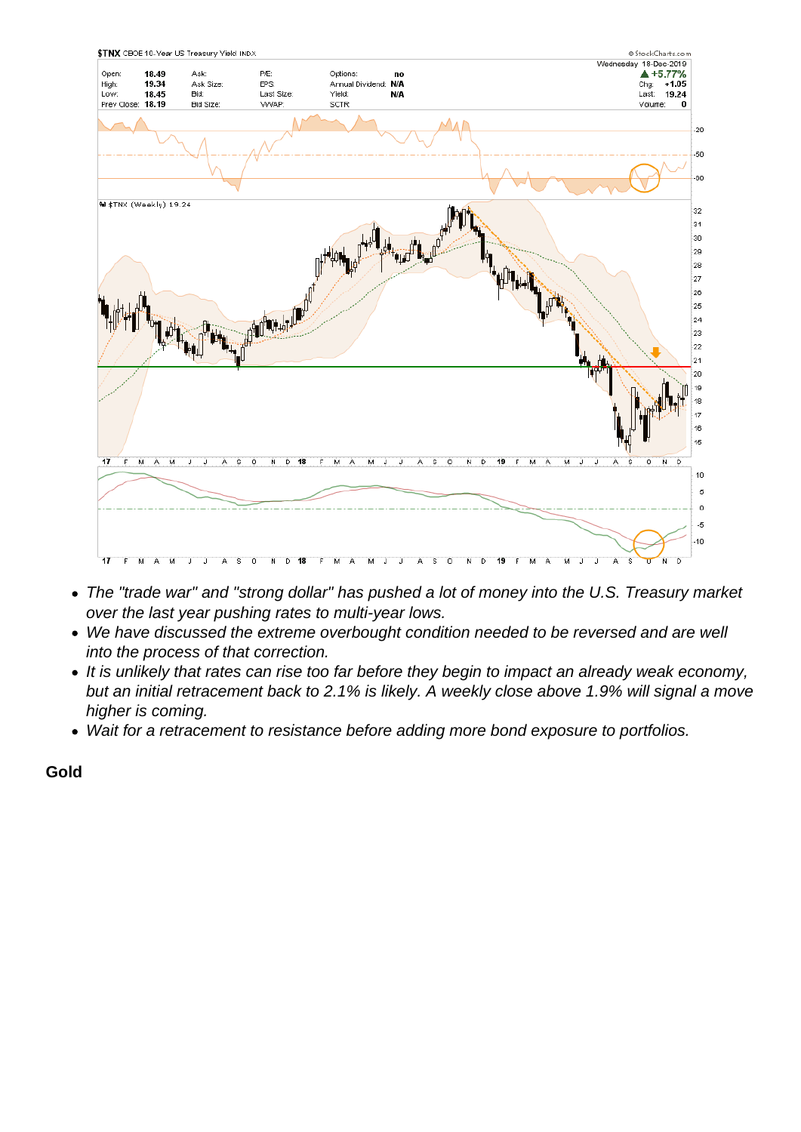- The "trade war" and "strong dollar" has pushed a lot of money into the U.S. Treasury market over the last year pushing rates to multi-year lows.
- We have discussed the extreme overbought condition needed to be reversed and are well into the process of that correction.
- It is unlikely that rates can rise too far before they begin to impact an already weak economy, but an initial retracement back to 2.1% is likely. A weekly close above 1.9% will signal a move higher is coming.
- Wait for a retracement to resistance before adding more bond exposure to portfolios.

Gold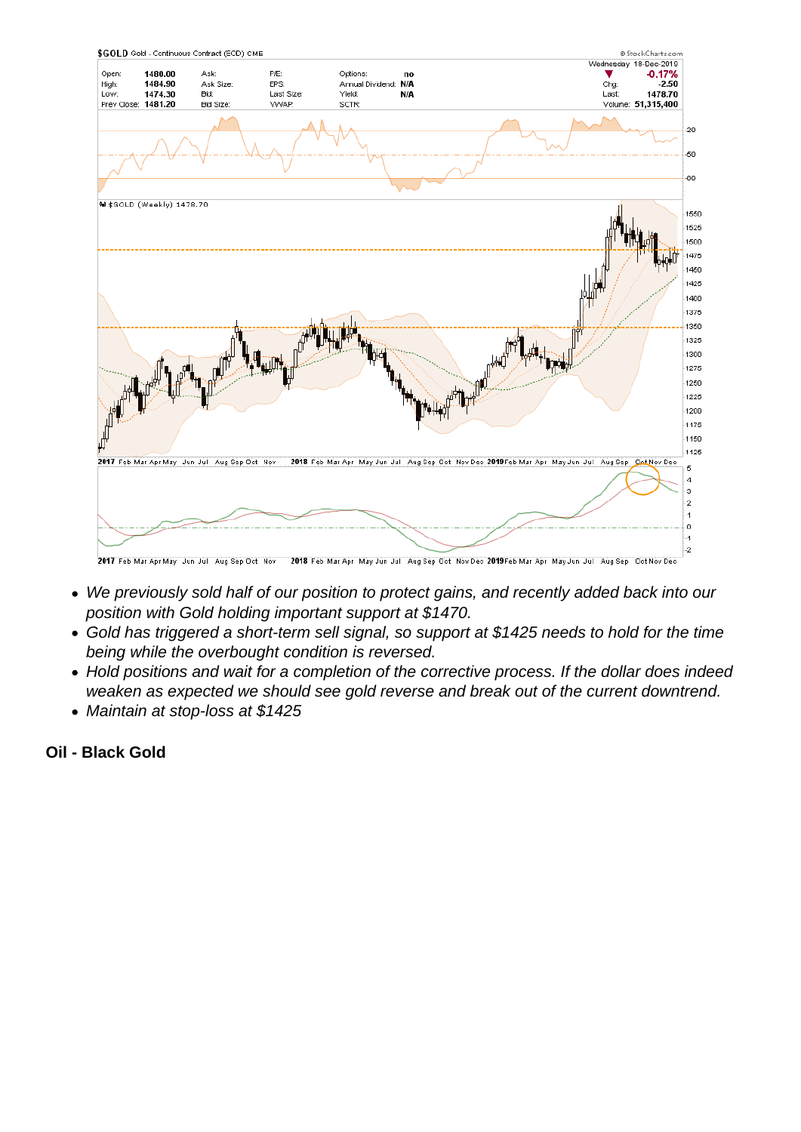- We previously sold half of our position to protect gains, and recently added back into our position with Gold holding important support at \$1470.
- Gold has triggered a short-term sell signal, so support at \$1425 needs to hold for the time being while the overbought condition is reversed.
- Hold positions and wait for a completion of the corrective process. If the dollar does indeed weaken as expected we should see gold reverse and break out of the current downtrend.
- Maintain at stop-loss at \$1425

Oil - Black Gold